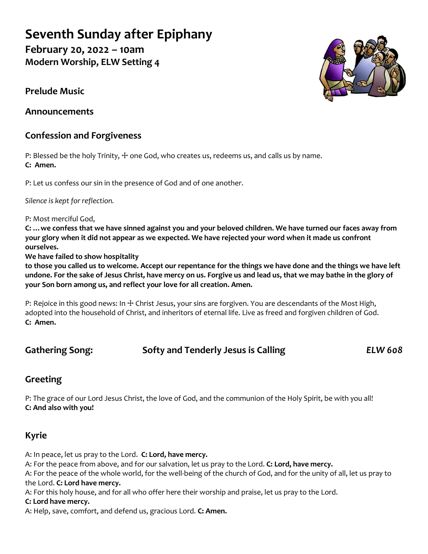# **Seventh Sunday after Epiphany**

**February 20, 2022 – 10am Modern Worship, ELW Setting 4**

**Prelude Music**

**Announcements**

# **Confession and Forgiveness**

P: Blessed be the holy Trinity,  $\pm$  one God, who creates us, redeems us, and calls us by name. **C: Amen.**

P: Let us confess our sin in the presence of God and of one another.

*Silence is kept for reflection.*

P: Most merciful God,

**C: …we confess that we have sinned against you and your beloved children. We have turned our faces away from your glory when it did not appear as we expected. We have rejected your word when it made us confront ourselves.**

**We have failed to show hospitality**

**to those you called us to welcome. Accept our repentance for the things we have done and the things we have left undone. For the sake of Jesus Christ, have mercy on us. Forgive us and lead us, that we may bathe in the glory of your Son born among us, and reflect your love for all creation. Amen.**

P: Rejoice in this good news: In  $+$  Christ Jesus, your sins are forgiven. You are descendants of the Most High, adopted into the household of Christ, and inheritors of eternal life. Live as freed and forgiven children of God. **C: Amen.**

# **Gathering Song: Softy and Tenderly Jesus is Calling** *ELW 608*

# **Greeting**

P: The grace of our Lord Jesus Christ, the love of God, and the communion of the Holy Spirit, be with you all! **C: And also with you!**

# **Kyrie**

A: In peace, let us pray to the Lord. **C: Lord, have mercy.**

A: For the peace from above, and for our salvation, let us pray to the Lord. **C: Lord, have mercy.**

A: For the peace of the whole world, for the well-being of the church of God, and for the unity of all, let us pray to the Lord. **C: Lord have mercy.**

A: For this holy house, and for all who offer here their worship and praise, let us pray to the Lord.

# **C: Lord have mercy.**

A: Help, save, comfort, and defend us, gracious Lord. **C: Amen.**

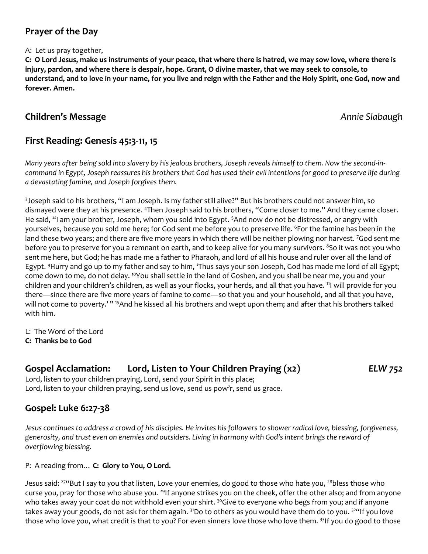# **Prayer of the Day**

A: Let us pray together,

**C: O Lord Jesus, make us instruments of your peace, that where there is hatred, we may sow love, where there is injury, pardon, and where there is despair, hope. Grant, O divine master, that we may seek to console, to understand, and to love in your name, for you live and reign with the Father and the Holy Spirit, one God, now and forever. Amen.**

# **Children's Message** *Annie Slabaugh*

# **First Reading: Genesis 45:3-11, 15**

*Many years after being sold into slavery by his jealous brothers, Joseph reveals himself to them. Now the second-incommand in Egypt, Joseph reassures his brothers that God has used their evil intentions for good to preserve life during a devastating famine, and Joseph forgives them.*

3 Joseph said to his brothers, "I am Joseph. Is my father still alive?" But his brothers could not answer him, so dismayed were they at his presence. <sup>4</sup>Then Joseph said to his brothers, "Come closer to me." And they came closer. He said, "I am your brother, Joseph, whom you sold into Egypt. <sup>5</sup>And now do not be distressed, or angry with yourselves, because you sold me here; for God sent me before you to preserve life. <sup>6</sup>For the famine has been in the land these two years; and there are five more years in which there will be neither plowing nor harvest. 7God sent me before you to preserve for you a remnant on earth, and to keep alive for you many survivors. <sup>8</sup>So it was not you who sent me here, but God; he has made me a father to Pharaoh, and lord of all his house and ruler over all the land of Egypt. <sup>9</sup>Hurry and go up to my father and say to him, 'Thus says your son Joseph, God has made me lord of all Egypt; come down to me, do not delay. <sup>10</sup>You shall settle in the land of Goshen, and you shall be near me, you and your children and your children's children, as well as your flocks, your herds, and all that you have. <sup>11</sup>I will provide for you there—since there are five more years of famine to come—so that you and your household, and all that you have, will not come to poverty.'" <sup>15</sup>And he kissed all his brothers and wept upon them; and after that his brothers talked with him.

L: The Word of the Lord

**C: Thanks be to God**

# **Gospel Acclamation: Lord, Listen to Your Children Praying (x2)** *ELW 752*

Lord, listen to your children praying, Lord, send your Spirit in this place; Lord, listen to your children praying, send us love, send us pow'r, send us grace.

# **Gospel: Luke 6:27-38**

*Jesus continues to address a crowd of his disciples. He invites his followers to shower radical love, blessing, forgiveness, generosity, and trust even on enemies and outsiders. Living in harmony with God's intent brings the reward of overflowing blessing.*

P: A reading from… **C: Glory to You, O Lord.**

Jesus said: <sup>274</sup>But I say to you that listen, Love your enemies, do good to those who hate you, <sup>28</sup>bless those who curse you, pray for those who abuse you. <sup>29</sup>If anyone strikes you on the cheek, offer the other also; and from anyone who takes away your coat do not withhold even your shirt. <sup>30</sup>Give to everyone who begs from you; and if anyone takes away your goods, do not ask for them again. <sup>31</sup>Do to others as you would have them do to you. <sup>324</sup>If you love those who love you, what credit is that to you? For even sinners love those who love them. 33If you do good to those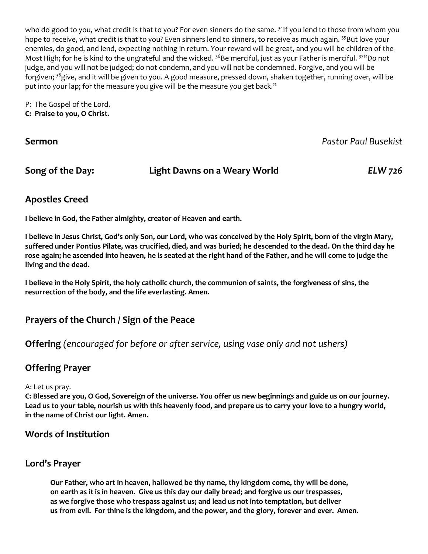who do good to you, what credit is that to you? For even sinners do the same. <sup>34</sup>If you lend to those from whom you hope to receive, what credit is that to you? Even sinners lend to sinners, to receive as much again. <sup>35</sup>But love your enemies, do good, and lend, expecting nothing in return. Your reward will be great, and you will be children of the Most High; for he is kind to the ungrateful and the wicked. <sup>36</sup>Be merciful, just as your Father is merciful. <sup>37</sup> Oo not judge, and you will not be judged; do not condemn, and you will not be condemned. Forgive, and you will be forgiven; <sup>38</sup>give, and it will be given to you. A good measure, pressed down, shaken together, running over, will be put into your lap; for the measure you give will be the measure you get back."

P: The Gospel of the Lord. **C: Praise to you, O Christ.**

**Sermon** *Pastor Paul Busekist*

**Song of the Day: Light Dawns on a Weary World** *ELW 726*

# **Apostles Creed**

**I believe in God, the Father almighty, creator of Heaven and earth.** 

**I believe in Jesus Christ, God's only Son, our Lord, who was conceived by the Holy Spirit, born of the virgin Mary, suffered under Pontius Pilate, was crucified, died, and was buried; he descended to the dead. On the third day he rose again; he ascended into heaven, he is seated at the right hand of the Father, and he will come to judge the living and the dead.**

**I believe in the Holy Spirit, the holy catholic church, the communion of saints, the forgiveness of sins, the resurrection of the body, and the life everlasting. Amen.**

# **Prayers of the Church / Sign of the Peace**

**Offering** *(encouraged for before or after service, using vase only and not ushers)*

# **Offering Prayer**

### A: Let us pray.

**C: Blessed are you, O God, Sovereign of the universe. You offer us new beginnings and guide us on our journey. Lead us to your table, nourish us with this heavenly food, and prepare us to carry your love to a hungry world, in the name of Christ our light. Amen.**

# **Words of Institution**

# **Lord's Prayer**

**Our Father, who art in heaven, hallowed be thy name, thy kingdom come, thy will be done, on earth as it is in heaven. Give us this day our daily bread; and forgive us our trespasses, as we forgive those who trespass against us; and lead us not into temptation, but deliver us from evil. For thine is the kingdom, and the power, and the glory, forever and ever. Amen.**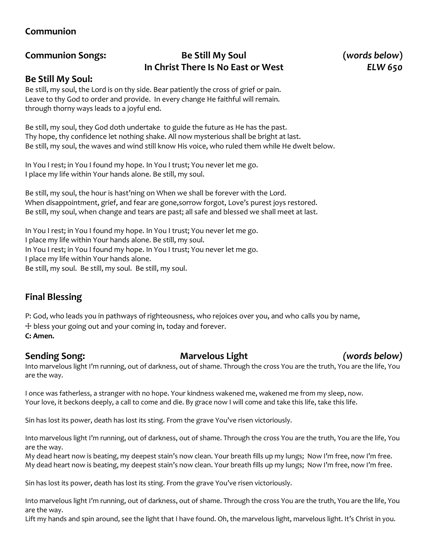# **Communion**

# **Communion Songs: Be Still My Soul (***words below***) In Christ There Is No East or West** *ELW 650*

### **Be Still My Soul:**

Be still, my soul, the Lord is on thy side. Bear patiently the cross of grief or pain. Leave to thy God to order and provide. In every change He faithful will remain. through thorny ways leads to a joyful end.

Be still, my soul, they God doth undertake to guide the future as He has the past. Thy hope, thy confidence let nothing shake. All now mysterious shall be bright at last. Be still, my soul, the waves and wind still know His voice, who ruled them while He dwelt below.

In You I rest; in You I found my hope. In You I trust; You never let me go. I place my life within Your hands alone. Be still, my soul.

Be still, my soul, the hour is hast'ning on When we shall be forever with the Lord. When disappointment, grief, and fear are gone,sorrow forgot, Love's purest joys restored. Be still, my soul, when change and tears are past; all safe and blessed we shall meet at last.

In You I rest; in You I found my hope. In You I trust; You never let me go. I place my life within Your hands alone. Be still, my soul. In You I rest; in You I found my hope. In You I trust; You never let me go. I place my life within Your hands alone. Be still, my soul. Be still, my soul. Be still, my soul.

# **Final Blessing**

P: God, who leads you in pathways of righteousness, who rejoices over you, and who calls you by name, ☩ bless your going out and your coming in, today and forever. **C: Amen.**

### **Sending Song: Marvelous Light** *(words below)*

Into marvelous light I'm running, out of darkness, out of shame. Through the cross You are the truth, You are the life, You are the way.

I once was fatherless, a stranger with no hope. Your kindness wakened me, wakened me from my sleep, now. Your love, it beckons deeply, a call to come and die. By grace now I will come and take this life, take this life.

Sin has lost its power, death has lost its sting. From the grave You've risen victoriously.

Into marvelous light I'm running, out of darkness, out of shame. Through the cross You are the truth, You are the life, You are the way.

My dead heart now is beating, my deepest stain's now clean. Your breath fills up my lungs; Now I'm free, now I'm free. My dead heart now is beating, my deepest stain's now clean. Your breath fills up my lungs; Now I'm free, now I'm free.

Sin has lost its power, death has lost its sting. From the grave You've risen victoriously.

Into marvelous light I'm running, out of darkness, out of shame. Through the cross You are the truth, You are the life, You are the way.

Lift my hands and spin around, see the light that I have found. Oh, the marvelous light, marvelous light. It's Christ in you.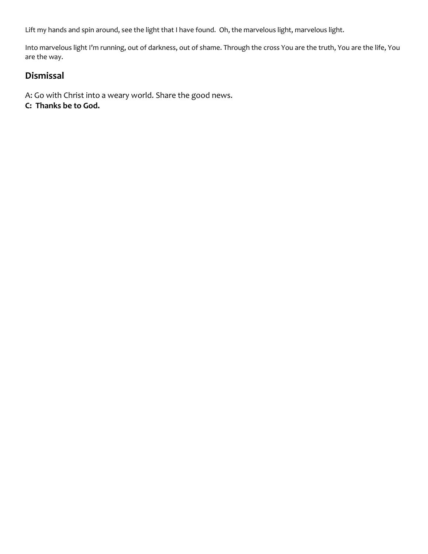Lift my hands and spin around, see the light that I have found. Oh, the marvelous light, marvelous light.

Into marvelous light I'm running, out of darkness, out of shame. Through the cross You are the truth, You are the life, You are the way.

# **Dismissal**

A: Go with Christ into a weary world. Share the good news. **C: Thanks be to God.**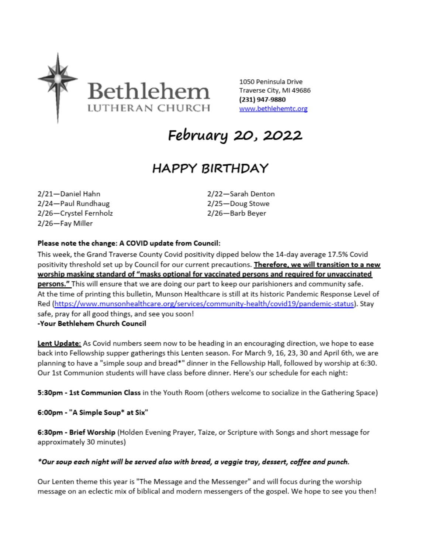

1050 Peninsula Drive Traverse City, MI 49686 (231) 947-9880 www.bethlehemtc.org

February 20, 2022

# **HAPPY BIRTHDAY**

2/21-Daniel Hahn 2/24-Paul Rundhaug 2/26-Crystel Fernholz 2/26-Fay Miller

2/22-Sarah Denton 2/25-Doug Stowe 2/26-Barb Beyer

#### Please note the change: A COVID update from Council:

This week, the Grand Traverse County Covid positivity dipped below the 14-day average 17.5% Covid positivity threshold set up by Council for our current precautions. Therefore, we will transition to a new worship masking standard of "masks optional for vaccinated persons and required for unvaccinated persons." This will ensure that we are doing our part to keep our parishioners and community safe. At the time of printing this bulletin, Munson Healthcare is still at its historic Pandemic Response Level of Red (https://www.munsonhealthcare.org/services/community-health/covid19/pandemic-status). Stay safe, pray for all good things, and see you soon! -Your Bethlehem Church Council

Lent Update: As Covid numbers seem now to be heading in an encouraging direction, we hope to ease back into Fellowship supper gatherings this Lenten season. For March 9, 16, 23, 30 and April 6th, we are planning to have a "simple soup and bread\*" dinner in the Fellowship Hall, followed by worship at 6:30. Our 1st Communion students will have class before dinner. Here's our schedule for each night:

5:30pm - 1st Communion Class in the Youth Room (others welcome to socialize in the Gathering Space)

6:00pm - "A Simple Soup\* at Six"

6:30pm - Brief Worship (Holden Evening Prayer, Taize, or Scripture with Songs and short message for approximately 30 minutes)

#### \*Our soup each night will be served also with bread, a veggie tray, dessert, coffee and punch.

Our Lenten theme this year is "The Message and the Messenger" and will focus during the worship message on an eclectic mix of biblical and modern messengers of the gospel. We hope to see you then!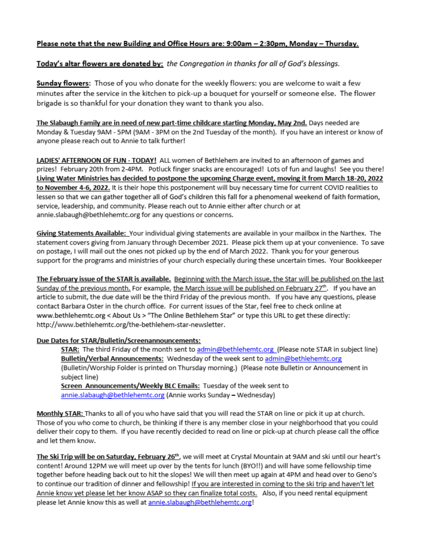#### Please note that the new Building and Office Hours are: 9:00am – 2:30pm, Monday – Thursday.

#### Today's altar flowers are donated by: the Congregation in thanks for all of God's blessings.

**Sunday flowers:** Those of you who donate for the weekly flowers: you are welcome to wait a few minutes after the service in the kitchen to pick-up a bouquet for yourself or someone else. The flower brigade is so thankful for your donation they want to thank you also.

The Slabaugh Family are in need of new part-time childcare starting Monday, May 2nd. Days needed are Monday & Tuesday 9AM - 5PM (9AM - 3PM on the 2nd Tuesday of the month). If you have an interest or know of anyone please reach out to Annie to talk further!

LADIES' AFTERNOON OF FUN - TODAY! ALL women of Bethlehem are invited to an afternoon of games and prizes! February 20th from 2-4PM. Potluck finger snacks are encouraged! Lots of fun and laughs! See you there! Living Water Ministries has decided to postpone the upcoming Charge event, moving it from March 18-20, 2022 to November 4-6, 2022. It is their hope this postponement will buy necessary time for current COVID realities to lessen so that we can gather together all of God's children this fall for a phenomenal weekend of faith formation, service, leadership, and community. Please reach out to Annie either after church or at annie.slabaugh@bethlehemtc.org for any questions or concerns.

Giving Statements Available: Your individual giving statements are available in your mailbox in the Narthex. The statement covers giving from January through December 2021. Please pick them up at your convenience. To save on postage, I will mail out the ones not picked up by the end of March 2022. Thank you for your generous support for the programs and ministries of your church especially during these uncertain times. Your Bookkeeper

The February issue of the STAR is available. Beginning with the March issue, the Star will be published on the last Sunday of the previous month. For example, the March issue will be published on February 27<sup>th</sup>. If you have an article to submit, the due date will be the third Friday of the previous month. If you have any questions, please contact Barbara Oster in the church office. For current issues of the Star, feel free to check online at www.bethlehemtc.org < About Us > "The Online Bethlehem Star" or type this URL to get these directly: http://www.bethlehemtc.org/the-bethlehem-star-newsletter.

#### Due Dates for STAR/Bulletin/Screenannouncements:

STAR: The third Friday of the month sent to admin@bethlehemtc.org (Please note STAR in subject line) Bulletin/Verbal Announcements: Wednesday of the week sent to admin@bethlehemtc.org (Bulletin/Worship Folder is printed on Thursday morning.) (Please note Bulletin or Announcement in subject line) Screen Announcements/Weekly BLC Emails: Tuesday of the week sent to

annie.slabaugh@bethlehemtc.org (Annie works Sunday - Wednesday)

Monthly STAR: Thanks to all of you who have said that you will read the STAR on line or pick it up at church. Those of you who come to church, be thinking if there is any member close in your neighborhood that you could deliver their copy to them. If you have recently decided to read on line or pick-up at church please call the office and let them know.

The Ski Trip will be on Saturday, February 26<sup>th</sup>, we will meet at Crystal Mountain at 9AM and ski until our heart's content! Around 12PM we will meet up over by the tents for lunch (BYO!!) and will have some fellowship time together before heading back out to hit the slopes! We will then meet up again at 4PM and head over to Geno's to continue our tradition of dinner and fellowship! If you are interested in coming to the ski trip and haven't let Annie know yet please let her know ASAP so they can finalize total costs. Also, if you need rental equipment please let Annie know this as well at annie.slabaugh@bethlehemtc.org!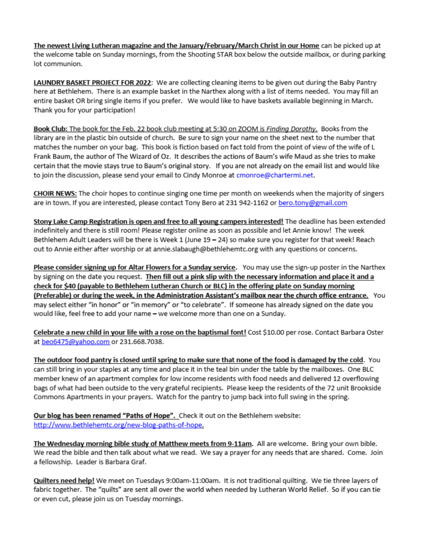The newest Living Lutheran magazine and the January/February/March Christ in our Home can be picked up at the welcome table on Sunday mornings, from the Shooting STAR box below the outside mailbox, or during parking lot communion.

LAUNDRY BASKET PROJECT FOR 2022: We are collecting cleaning items to be given out during the Baby Pantry here at Bethlehem. There is an example basket in the Narthex along with a list of items needed. You may fill an entire basket OR bring single items if you prefer. We would like to have baskets available beginning in March. Thank you for your participation!

Book Club: The book for the Feb. 22 book club meeting at 5:30 on ZOOM is Finding Dorothy. Books from the library are in the plastic bin outside of church. Be sure to sign your name on the sheet next to the number that matches the number on your bag. This book is fiction based on fact told from the point of view of the wife of L Frank Baum, the author of The Wizard of Oz. It describes the actions of Baum's wife Maud as she tries to make certain that the movie stays true to Baum's original story. If you are not already on the email list and would like to join the discussion, please send your email to Cindy Monroe at cmonroe@chartermi.net.

CHOIR NEWS: The choir hopes to continue singing one time per month on weekends when the majority of singers are in town. If you are interested, please contact Tony Bero at 231 942-1162 or bero.tony@gmail.com

Stony Lake Camp Registration is open and free to all young campers interested! The deadline has been extended indefinitely and there is still room! Please register online as soon as possible and let Annie know! The week Bethlehem Adult Leaders will be there is Week 1 (June 19 - 24) so make sure you register for that week! Reach out to Annie either after worship or at annie.slabaugh@bethlehemtc.org with any questions or concerns.

Please consider signing up for Altar Flowers for a Sunday service. You may use the sign-up poster in the Narthex by signing on the date you request. Then fill out a pink slip with the necessary information and place it and a check for \$40 (payable to Bethlehem Lutheran Church or BLC) in the offering plate on Sunday morning (Preferable) or during the week, in the Administration Assistant's mailbox near the church office entrance. You may select either "in honor" or "in memory" or "to celebrate". If someone has already signed on the date you would like, feel free to add your name - we welcome more than one on a Sunday.

Celebrate a new child in your life with a rose on the baptismal font! Cost \$10.00 per rose. Contact Barbara Oster at beo6475@yahoo.com or 231.668.7038.

The outdoor food pantry is closed until spring to make sure that none of the food is damaged by the cold. You can still bring in your staples at any time and place it in the teal bin under the table by the mailboxes. One BLC member knew of an apartment complex for low income residents with food needs and delivered 12 overflowing bags of what had been outside to the very grateful recipients. Please keep the residents of the 72 unit Brookside Commons Apartments in your prayers. Watch for the pantry to jump back into full swing in the spring.

Our blog has been renamed "Paths of Hope". Check it out on the Bethlehem website: http://www.bethlehemtc.org/new-blog-paths-of-hope.

The Wednesday morning bible study of Matthew meets from 9-11am. All are welcome. Bring your own bible. We read the bible and then talk about what we read. We say a prayer for any needs that are shared. Come. Join a fellowship. Leader is Barbara Graf.

Quilters need help! We meet on Tuesdays 9:00am-11:00am. It is not traditional quilting. We tie three layers of fabric together. The "quilts" are sent all over the world when needed by Lutheran World Relief. So if you can tie or even cut, please join us on Tuesday mornings.